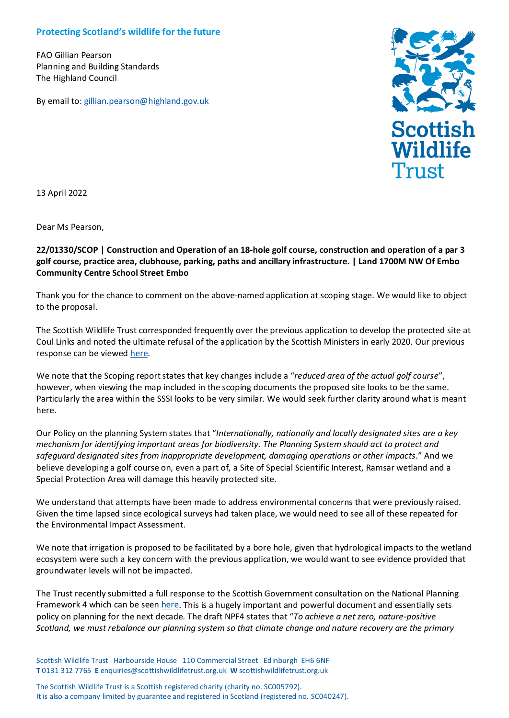## **Protecting Scotland's wildlife for the future**

FAO Gillian Pearson Planning and Building Standards The Highland Council

By email to: [gillian.pearson@highland.gov.uk](mailto:gillian.pearson@highland.gov.uk)



13 April 2022

Dear Ms Pearson,

## **22/01330/SCOP | Construction and Operation of an 18-hole golf course, construction and operation of a par 3 golf course, practice area, clubhouse, parking, paths and ancillary infrastructure. | Land 1700M NW Of Embo Community Centre School Street Embo**

Thank you for the chance to comment on the above-named application at scoping stage. We would like to object to the proposal.

The Scottish Wildlife Trust corresponded frequently over the previous application to develop the protected site at Coul Links and noted the ultimate refusal of the application by the Scottish Ministers in early 2020. Our previous response can be viewed [here.](https://scottishwildlifetrust.org.uk/wp-content/uploads/2017/10/Response-to-Coul-Links-October-2017.pdf)

We note that the Scoping report states that key changes include a "*reduced area of the actual golf course*", however, when viewing the map included in the scoping documents the proposed site looks to be the same. Particularly the area within the SSSI looks to be very similar. We would seek further clarity around what is meant here.

Our Policy on the planning System states that "*Internationally, nationally and locally designated sites are a key mechanism for identifying important areas for biodiversity. The Planning System should act to protect and safeguard designated sites from inappropriate development, damaging operations or other impacts*." And we believe developing a golf course on, even a part of, a Site of Special Scientific Interest, Ramsar wetland and a Special Protection Area will damage this heavily protected site.

We understand that attempts have been made to address environmental concerns that were previously raised. Given the time lapsed since ecological surveys had taken place, we would need to see all of these repeated for the Environmental Impact Assessment.

We note that irrigation is proposed to be facilitated by a bore hole, given that hydrological impacts to the wetland ecosystem were such a key concern with the previous application, we would want to see evidence provided that groundwater levels will not be impacted.

The Trust recently submitted a full response to the Scottish Government consultation on the National Planning Framework 4 which can be seen [here.](https://scottishwildlifetrust.org.uk/wp-content/uploads/2022/04/National-Planning-Framework-4-Consultation-March-2022.pdf) This is a hugely important and powerful document and essentially sets policy on planning for the next decade. The draft NPF4 states that "*To achieve a net zero, nature-positive Scotland, we must rebalance our planning system so that climate change and nature recovery are the primary* 

Scottish Wildlife Trust Harbourside House 110 Commercial Street Edinburgh EH6 6NF **T** 0131 312 7765 **E** enquiries@scottishwildlifetrust.org.uk **W** [scottishwildlifetrust.org.uk](http://www.swt.org.uk/)

The Scottish Wildlife Trust is a Scottish registered charity (charity no. SC005792). It is also a company limited by guarantee and registered in Scotland (registered no. SC040247).